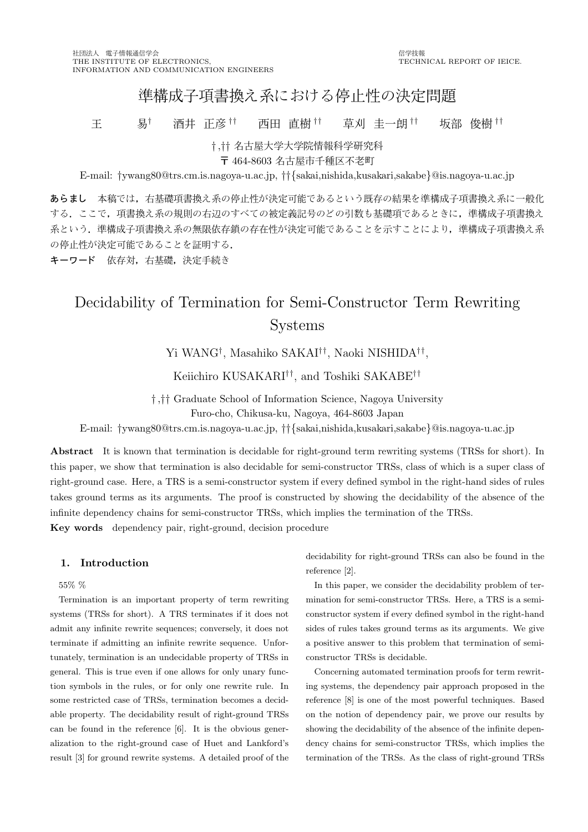## 進構成子項書換え系における停止性の決定問題

王 易† 酒井 正彦 †† 西田 直樹 †† 草刈 圭一朗 †† 坂部 俊樹 ††

† ,†† 名古屋大学大学院 情報科学研究 <sup>科</sup>

〒 464-8603 名古屋市千種区不老町

E-mail: †ywang80@trs.cm.is.nagoya-u.ac.jp, ††{sakai,nishida,kusakari,sakabe}@is.nagoya-u.ac.jp

あらまし 本稿では,右基礎項書換え系の停止性が決定可能であるという既存の結果を準構成子項書換え系に一般化 する。ここで、項書換え系の規則の右辺のすべての被定義記号のどの引数も基礎項であるときに、準構成子項書換え 系という. 準構成子項書換え系の無限依存鎖の存在性が決定可能であることを示すことにより, 準構成子項書換え系 の停止性が決定可能であることを証明する.

キーワード 依存対, 右基礎, 決定手続き

# Decidability of Termination for Semi-Constructor Term Rewriting Systems

Yi WANG† , Masahiko SAKAI†† , Naoki NISHIDA†† ,

Keiichiro KUSAKARI†† , and Toshiki SAKABE††

† ,†† Graduate School of Information Science, Nagoya University

Furo-cho, Chikusa-ku, Nagoya, 464-8603 Japan

E-mail: †ywang80@trs.cm.is.nagoya-u.ac.jp, ††{sakai,nishida,kusakari,sakabe}@is.nagoya-u.ac.jp

Abstract It is known that termination is decidable for right-ground term rewriting systems (TRSs for short). In this paper, we show that termination is also decidable for semi-constructor TRSs, class of which is a super class of right-ground case. Here, a TRS is a semi-constructor system if every defined symbol in the right-hand sides of rules takes ground terms as its arguments. The proof is constructed by showing the decidability of the absence of the infinite dependency chains for semi-constructor TRSs, which implies the termination of the TRSs. Key words dependency pair, right-ground, decision procedure

## 1. Introduction

55% %

Termination is an important property of term rewriting systems (TRSs for short). A TRS terminates if it does not admit any infinite rewrite sequences; conversely, it does not terminate if admitting an infinite rewrite sequence. Unfortunately, termination is an undecidable property of TRSs in general. This is true even if one allows for only unary function symbols in the rules, or for only one rewrite rule. In some restricted case of TRSs, termination becomes a decidable property. The decidability result of right-ground TRSs can be found in the reference [6]. It is the obvious generalization to the right-ground case of Huet and Lankford's result [3] for ground rewrite systems. A detailed proof of the

decidability for right-ground TRSs can also be found in the reference [2].

In this paper, we consider the decidability problem of termination for semi-constructor TRSs. Here, a TRS is a semiconstructor system if every defined symbol in the right-hand sides of rules takes ground terms as its arguments. We give a positive answer to this problem that termination of semiconstructor TRSs is decidable.

Concerning automated termination proofs for term rewriting systems, the dependency pair approach proposed in the reference [8] is one of the most powerful techniques. Based on the notion of dependency pair, we prove our results by showing the decidability of the absence of the infinite dependency chains for semi-constructor TRSs, which implies the termination of the TRSs. As the class of right-ground TRSs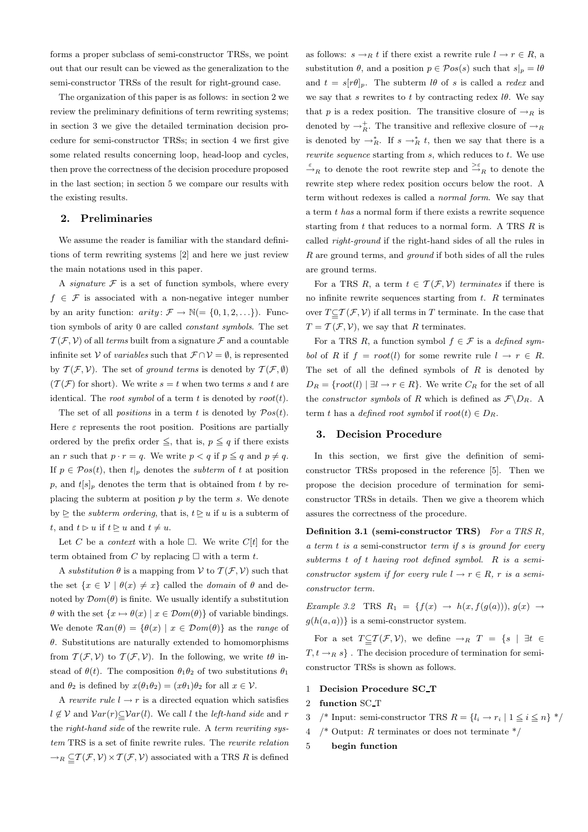forms a proper subclass of semi-constructor TRSs, we point out that our result can be viewed as the generalization to the semi-constructor TRSs of the result for right-ground case.

The organization of this paper is as follows: in section 2 we review the preliminary definitions of term rewriting systems; in section 3 we give the detailed termination decision procedure for semi-constructor TRSs; in section 4 we first give some related results concerning loop, head-loop and cycles, then prove the correctness of the decision procedure proposed in the last section; in section 5 we compare our results with the existing results.

### 2. Preliminaries

We assume the reader is familiar with the standard definitions of term rewriting systems [2] and here we just review the main notations used in this paper.

A *signature*  $F$  is a set of function symbols, where every  $f \in \mathcal{F}$  is associated with a non-negative integer number by an arity function:  $arity \colon \mathcal{F} \to \mathbb{N} (=\{0,1,2,\ldots\})$ . Function symbols of arity 0 are called constant symbols. The set  $\mathcal{T}(\mathcal{F}, \mathcal{V})$  of all terms built from a signature  $\mathcal{F}$  and a countable infinite set V of *variables* such that  $\mathcal{F} \cap \mathcal{V} = \emptyset$ , is represented by  $T(\mathcal{F}, \mathcal{V})$ . The set of ground terms is denoted by  $T(\mathcal{F}, \emptyset)$  $(\mathcal{T}(\mathcal{F})$  for short). We write  $s = t$  when two terms s and t are identical. The *root symbol* of a term t is denoted by  $root(t)$ .

The set of all *positions* in a term t is denoted by  $Pos(t)$ . Here  $\varepsilon$  represents the root position. Positions are partially ordered by the prefix order  $\leq$ , that is,  $p \leq q$  if there exists an r such that  $p \cdot r = q$ . We write  $p < q$  if  $p \leq q$  and  $p \neq q$ . If  $p \in \mathcal{P}os(t)$ , then  $t|_p$  denotes the *subterm* of t at position p, and  $t[s]_p$  denotes the term that is obtained from t by replacing the subterm at position  $p$  by the term  $s$ . We denote by  $\geq$  the *subterm ordering*, that is,  $t \geq u$  if u is a subterm of t, and  $t \geq u$  if  $t \geq u$  and  $t \neq u$ .

Let C be a *context* with a hole  $\Box$ . We write  $C[t]$  for the term obtained from C by replacing  $\Box$  with a term t.

A substitution  $\theta$  is a mapping from  $\mathcal V$  to  $\mathcal T(\mathcal F,\mathcal V)$  such that the set  $\{x \in \mathcal{V} \mid \theta(x) \neq x\}$  called the *domain* of  $\theta$  and denoted by  $\mathcal{D}om(\theta)$  is finite. We usually identify a substitution  $\theta$  with the set  $\{x \mapsto \theta(x) \mid x \in \mathcal{D}om(\theta)\}\$  of variable bindings. We denote  $\mathcal{R}an(\theta) = {\theta(x) | x \in \mathcal{D}om(\theta)}$  as the *range* of  $\theta$ . Substitutions are naturally extended to homomorphisms from  $\mathcal{T}(\mathcal{F}, \mathcal{V})$  to  $\mathcal{T}(\mathcal{F}, \mathcal{V})$ . In the following, we write  $t\theta$  instead of  $\theta(t)$ . The composition  $\theta_1\theta_2$  of two substitutions  $\theta_1$ and  $\theta_2$  is defined by  $x(\theta_1\theta_2) = (x\theta_1)\theta_2$  for all  $x \in \mathcal{V}$ .

A rewrite rule  $l \rightarrow r$  is a directed equation which satisfies  $l \notin V$  and  $Var(r) \subseteq Var(l)$ . We call l the *left-hand side* and r the right-hand side of the rewrite rule. A term rewriting system TRS is a set of finite rewrite rules. The rewrite relation  $\rightarrow_R \subseteqq \mathcal{T}(\mathcal{F}, \mathcal{V}) \times \mathcal{T}(\mathcal{F}, \mathcal{V})$  associated with a TRS R is defined

as follows:  $s \rightarrow_R t$  if there exist a rewrite rule  $l \rightarrow r \in R$ , a substitution  $\theta$ , and a position  $p \in \mathcal{P}os(s)$  such that  $s|_p = l\theta$ and  $t = s[r\theta]_p$ . The subterm l $\theta$  of s is called a redex and we say that s rewrites to t by contracting redex  $l\theta$ . We say that p is a redex position. The transitive closure of  $\rightarrow_R$  is denoted by  $\rightarrow_R^+$ . The transitive and reflexive closure of  $\rightarrow_R$ is denoted by  $\rightarrow_R^*$ . If  $s \rightarrow_R^* t$ , then we say that there is a *rewrite sequence* starting from  $s$ , which reduces to  $t$ . We use  $\stackrel{\varepsilon}{\rightarrow}_R$  to denote the root rewrite step and  $\stackrel{\varepsilon}{\rightarrow}_R$  to denote the rewrite step where redex position occurs below the root. A term without redexes is called a normal form. We say that a term t has a normal form if there exists a rewrite sequence starting from  $t$  that reduces to a normal form. A TRS  $R$  is called right-ground if the right-hand sides of all the rules in R are ground terms, and ground if both sides of all the rules are ground terms.

For a TRS R, a term  $t \in \mathcal{T}(\mathcal{F}, \mathcal{V})$  terminates if there is no infinite rewrite sequences starting from  $t$ .  $R$  terminates over  $T \subseteq T(\mathcal{F}, \mathcal{V})$  if all terms in T terminate. In the case that  $T = \mathcal{T}(\mathcal{F}, \mathcal{V})$ , we say that R terminates.

For a TRS R, a function symbol  $f \in \mathcal{F}$  is a defined symbol of R if  $f = root(l)$  for some rewrite rule  $l \rightarrow r \in R$ . The set of all the defined symbols of  $R$  is denoted by  $D_R = \{root(l) | \exists l \rightarrow r \in R \}.$  We write  $C_R$  for the set of all the *constructor symbols* of R which is defined as  $\mathcal{F}\backslash D_R$ . A term t has a defined root symbol if  $root(t) \in D_R$ .

#### 3. Decision Procedure

In this section, we first give the definition of semiconstructor TRSs proposed in the reference [5]. Then we propose the decision procedure of termination for semiconstructor TRSs in details. Then we give a theorem which assures the correctness of the procedure.

Definition 3.1 (semi-constructor TRS) For a TRS  $R$ ,  $a$  term  $t$  is a semi-constructor term if  $s$  is ground for every subterms t of t having root defined symbol. R is a semiconstructor system if for every rule  $l \rightarrow r \in R$ , r is a semiconstructor term.

Example 3.2 TRS  $R_1 = \{f(x) \rightarrow h(x, f(g(a))), g(x) \rightarrow$  $g(h(a, a))$  is a semi-constructor system.

For a set  $T \subseteq T(\mathcal{F}, \mathcal{V})$ , we define  $\rightarrow_R T = \{s \mid \exists t \in$  $T, t \rightarrow_R s$ . The decision procedure of termination for semiconstructor TRSs is shown as follows.

- 1 Decision Procedure SC T
- 2 function SC T
- 3 /\* Input: semi-constructor TRS  $R = \{l_i \rightarrow r_i \mid 1 \leq i \leq n\}$  \*/
- 4 /\* Output: R terminates or does not terminate  $*/$
- 5 begin function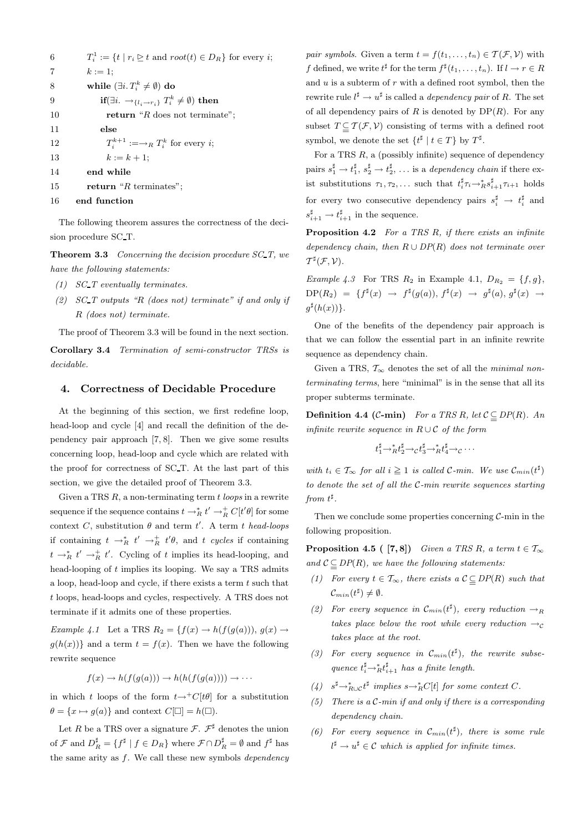| 6              | $T_i^1 := \{t \mid r_i \geq t \text{ and } root(t) \in D_R\}$ for every i;         |
|----------------|------------------------------------------------------------------------------------|
| $\overline{7}$ | $k := 1$ ;                                                                         |
| 8              | while $(\exists i. T_i^k \neq \emptyset)$ do                                       |
| 9              | if( $\exists i. \rightarrow_{\{l_i \rightarrow r_i\}} T_i^k \neq \emptyset$ ) then |
| 10             | return " $R$ does not terminate";                                                  |
| 11             | else                                                                               |
| 12             | $T_i^{k+1} := \rightarrow_R T_i^k$ for every i;                                    |
| 13             | $k := k + 1$ ;                                                                     |
| 14             | end while                                                                          |
| 15             | return " $R$ terminates";                                                          |
| 16             | end function                                                                       |

The following theorem assures the correctness of the decision procedure SC T.

**Theorem 3.3** Concerning the decision procedure  $SCT$ , we have the following statements:

- (1) SC T eventually terminates.
- (2)  $SC_T$  outputs "R (does not) terminate" if and only if R (does not) terminate.

The proof of Theorem 3.3 will be found in the next section.

Corollary 3.4 Termination of semi-constructor TRSs is decidable.

## 4. Correctness of Decidable Procedure

At the beginning of this section, we first redefine loop, head-loop and cycle [4] and recall the definition of the dependency pair approach [7, 8]. Then we give some results concerning loop, head-loop and cycle which are related with the proof for correctness of SC T. At the last part of this section, we give the detailed proof of Theorem 3.3.

Given a TRS  $R$ , a non-terminating term  $t$  loops in a rewrite sequence if the sequence contains  $t \to_R^* t' \to_R^+ C[t'\theta]$  for some context C, substitution  $\theta$  and term t'. A term t head-loops if containing  $t \to_R^* t' \to_R^+ t' \theta$ , and t cycles if containing  $t \to_R^* t' \to_R^+ t'$ . Cycling of t implies its head-looping, and head-looping of  $t$  implies its looping. We say a TRS admits a loop, head-loop and cycle, if there exists a term  $t$  such that t loops, head-loops and cycles, respectively. A TRS does not terminate if it admits one of these properties.

Example 4.1 Let a TRS  $R_2 = \{f(x) \to h(f(g(a))), g(x) \to$  $q(h(x))$  and a term  $t = f(x)$ . Then we have the following rewrite sequence

$$
f(x) \to h(f(g(a))) \to h(h(f(g(a)))) \to \cdots
$$

in which t loops of the form  $t\rightarrow C[t\theta]$  for a substitution  $\theta = \{x \mapsto g(a)\}\$ and context  $C[\Box] = h(\Box).$ 

Let R be a TRS over a signature  $\mathcal{F}$ .  $\mathcal{F}^{\sharp}$  denotes the union of  $\mathcal{F}$  and  $D_R^{\sharp} = \{ f^{\sharp} \mid f \in D_R \}$  where  $\mathcal{F} \cap D_R^{\sharp} = \emptyset$  and  $f^{\sharp}$  has the same arity as  $f$ . We call these new symbols  $dependentcy$  *pair symbols.* Given a term  $t = f(t_1, \ldots, t_n) \in \mathcal{T}(\mathcal{F}, \mathcal{V})$  with f defined, we write  $t^{\sharp}$  for the term  $f^{\sharp}(t_1,\ldots,t_n)$ . If  $l \to r \in R$ and  $u$  is a subterm of  $r$  with a defined root symbol, then the rewrite rule  $l^{\sharp} \to u^{\sharp}$  is called a *dependency pair* of R. The set of all dependency pairs of  $R$  is denoted by  $DP(R)$ . For any subset  $T \subseteq T(\mathcal{F}, \mathcal{V})$  consisting of terms with a defined root symbol, we denote the set  $\{t^{\sharp} \mid t \in T\}$  by  $T^{\sharp}$ .

For a TRS  $R$ , a (possibly infinite) sequence of dependency pairs  $s_1^{\sharp} \to t_1^{\sharp}, s_2^{\sharp} \to t_2^{\sharp}, \ldots$  is a *dependency chain* if there exist substitutions  $\tau_1, \tau_2, \ldots$  such that  $t_i^{\sharp} \tau_i \rightarrow_R^* s_{i+1}^{\sharp} \tau_{i+1}$  holds for every two consecutive dependency pairs  $s_i^{\sharp} \rightarrow t_i^{\sharp}$  and  $s_{i+1}^{\sharp} \rightarrow t_{i+1}^{\sharp}$  in the sequence.

**Proposition 4.2** For a TRS  $R$ , if there exists an infinite dependency chain, then  $R \cup DP(R)$  does not terminate over  $\mathcal{T}^\sharp(\mathcal{F},\mathcal{V}).$ 

Example 4.3 For TRS  $R_2$  in Example 4.1,  $D_{R_2} = \{f, g\},\$  $DP(R_2) = \{ f^{\sharp}(x) \rightarrow f^{\sharp}(g(a)), f^{\sharp}(x) \rightarrow g^{\sharp}(a), g^{\sharp}(x) \rightarrow$  $g^{\sharp}(h(x))\}.$ 

One of the benefits of the dependency pair approach is that we can follow the essential part in an infinite rewrite sequence as dependency chain.

Given a TRS,  $\mathcal{T}_{\infty}$  denotes the set of all the minimal nonterminating terms, here "minimal" is in the sense that all its proper subterms terminate.

**Definition 4.4 (C-min)** For a TRS R, let  $C \subseteq DP(R)$ . An infinite rewrite sequence in  $R \cup C$  of the form

$$
t_1^{\sharp} \rightarrow_R^* t_2^{\sharp} \rightarrow_C t_3^{\sharp} \rightarrow_R^* t_4^{\sharp} \rightarrow_C \cdots
$$

with  $t_i \in \mathcal{T}_{\infty}$  for all  $i \geq 1$  is called C-min. We use  $\mathcal{C}_{min}(t^{\sharp})$ to denote the set of all the C-min rewrite sequences starting from  $t^{\sharp}$ .

Then we conclude some properties concerning  $C$ -min in the following proposition.

**Proposition 4.5 (** [7,8]) Given a TRS R, a term  $t \in \mathcal{T}_{\infty}$ and  $C \subseteq DP(R)$ , we have the following statements:

- (1) For every  $t \in \mathcal{T}_{\infty}$ , there exists a  $\mathcal{C} \subseteq DP(R)$  such that  $\mathcal{C}_{min}(t^{\sharp}) \neq \emptyset.$
- (2) For every sequence in  $\mathcal{C}_{min}(t^{\sharp})$ , every reduction  $\rightarrow_R$ takes place below the root while every reduction  $\rightarrow_c$ takes place at the root.
- (3) For every sequence in  $\mathcal{C}_{min}(t^{\sharp})$ , the rewrite subsequence  $t_i^{\sharp} \rightarrow_R^* t_{i+1}^{\sharp}$  has a finite length.
- (4)  $s^{\sharp} \rightarrow_{R\cup C}^* t^{\sharp}$  implies  $s \rightarrow_R^* C[t]$  for some context C.
- (5) There is a  $C$ -min if and only if there is a corresponding dependency chain.
- (6) For every sequence in  $\mathcal{C}_{min}(t^{\sharp})$ , there is some rule  $l^{\sharp} \to u^{\sharp} \in \mathcal{C}$  which is applied for infinite times.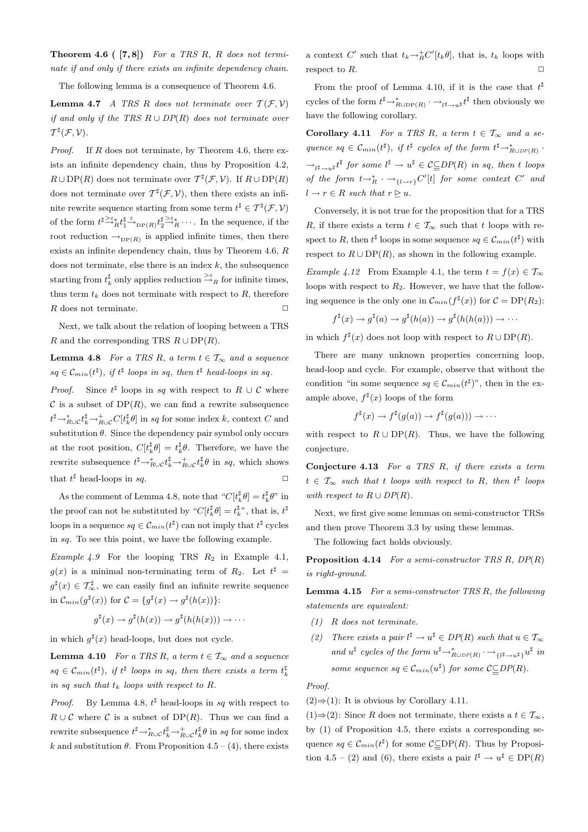**Theorem 4.6 (**  $[7, 8]$ ) For a TRS R, R does not terminate if and only if there exists an infinite dependency chain.

The following lemma is a consequence of Theorem 4.6.

**Lemma 4.7** A TRS R does not terminate over  $\mathcal{T}(\mathcal{F}, \mathcal{V})$ if and only if the TRS  $R \cup DP(R)$  does not terminate over  $\mathcal{T}^\sharp(\mathcal{F},\mathcal{V}).$ 

*Proof.* If  $R$  does not terminate, by Theorem 4.6, there exists an infinite dependency chain, thus by Proposition 4.2,  $R \cup DP(R)$  does not terminate over  $T^{\sharp}(\mathcal{F}, \mathcal{V})$ . If  $R \cup DP(R)$ does not terminate over  $T^{\sharp}(\mathcal{F}, \mathcal{V})$ , then there exists an infinite rewrite sequence starting from some term  $t^{\sharp} \in \mathcal{T}^{\sharp}(\mathcal{F}, \mathcal{V})$ of the form  $t^{\sharp \geq \varepsilon_*} t^{\sharp}_1 \xrightarrow{\varepsilon} {}_{\text{DP}(R)} t^{\sharp \geq \varepsilon_*}_2 \cdots$ . In the sequence, if the root reduction  $\rightarrow_{\text{DP}(R)}$  is applied infinite times, then there exists an infinite dependency chain, thus by Theorem 4.6, R does not terminate, else there is an index  $k$ , the subsequence starting from  $t_k^{\sharp}$  only applies reduction  $\stackrel{\gtimes \varepsilon}{\to}_R$  for infinite times, thus term  $t_k$  does not terminate with respect to  $R$ , therefore  $R$  does not terminate.  $\Box$ 

Next, we talk about the relation of looping between a TRS R and the corresponding TRS  $R \cup DP(R)$ .

**Lemma 4.8** For a TRS R, a term  $t \in \mathcal{T}_{\infty}$  and a sequence  $sq \in \mathcal{C}_{min}(t^{\sharp}), \; if \; t^{\sharp} \; loops \; in \; sq, \; then \; t^{\sharp} \; head-loops \; in \; sq.$ 

*Proof.* Since  $t^{\sharp}$  loops in sq with respect to R ∪ C where  $\mathcal C$  is a subset of DP(R), we can find a rewrite subsequence  $t^{\sharp} \rightarrow_{R\cup\mathcal{C}}^* t^{\sharp}_k \rightarrow_{R\cup\mathcal{C}}^* C[t^{\sharp}_k \theta]$  in sq for some index k, context C and substitution  $\theta$ . Since the dependency pair symbol only occurs at the root position,  $C[t^{\sharp}_{k}\theta] = t^{\sharp}_{k}\theta$ . Therefore, we have the rewrite subsequence  $t^{\sharp} \rightarrow_{R\cup C}^* t_k^{\sharp} \rightarrow_{R\cup C}^* t_k^{\sharp} \theta$  in sq, which shows that  $t^{\sharp}$  head-loops in sq.  $\square$ 

As the comment of Lemma 4.8, note that  $C[t_k^{\sharp}\theta] = t_k^{\sharp}\theta$ " in the proof can not be substituted by " $C[t^{\sharp}_{k}\theta] = t^{\sharp}_{k}$ ", that is,  $t^{\sharp}$ loops in a sequence  $sq \in \mathcal{C}_{min}(t^{\sharp})$  can not imply that  $t^{\sharp}$  cycles in sq. To see this point, we have the following example.

Example 4.9 For the looping TRS  $R_2$  in Example 4.1,  $g(x)$  is a minimal non-terminating term of  $R_2$ . Let  $t^{\sharp}$  =  $g^{\sharp}(x) \in \mathcal{T}_{\infty}^{\sharp}$ , we can easily find an infinite rewrite sequence in  $\mathcal{C}_{min}(g^{\sharp}(x))$  for  $\mathcal{C} = \{g^{\sharp}(x) \rightarrow g^{\sharp}(h(x))\}$ :

$$
g^{\sharp}(x) \to g^{\sharp}(h(x)) \to g^{\sharp}(h(h(x))) \to \cdots
$$

in which  $g^{\sharp}(x)$  head-loops, but does not cycle.

**Lemma 4.10** For a TRS R, a term  $t \in \mathcal{T}_{\infty}$  and a sequence  $sq \in \mathcal{C}_{min}(t^{\sharp}), \; \text{if} \; t^{\sharp} \; \text{loops in } sq, \; \text{then there exists a term } t^{\sharp}_k$ in sq such that  $t_k$  loops with respect to R.

*Proof.* By Lemma 4.8,  $t^{\sharp}$  head-loops in sq with respect to  $R \cup C$  where C is a subset of DP(R). Thus we can find a rewrite subsequence  $t^{\sharp} \rightarrow_{R\cup C}^* t^{\sharp}_k \rightarrow_{R\cup C}^* t^{\sharp}_k \theta$  in sq for some index k and substitution  $\theta$ . From Proposition 4.5 – (4), there exists

a context C' such that  $t_k \rightarrow_R^+ C'[t_k \theta]$ , that is,  $t_k$  loops with respect to  $R$ .

From the proof of Lemma 4.10, if it is the case that  $t^{\sharp}$ cycles of the form  $t^{\sharp} \rightarrow_{R\cup \text{DP}(R)}^* \cdot \rightarrow_{t^{\sharp} \rightarrow u^{\sharp}} t^{\sharp}$  then obviously we have the following corollary.

Corollary 4.11 For a TRS R, a term  $t \in \mathcal{T}_{\infty}$  and a sequence  $sq \in \mathcal{C}_{min}(t^{\sharp}), \; if \; t^{\sharp} \; cycles \; of \; the \; form \; t^{\sharp} \rightarrow_{R \cup DP(R)}^*$ .  $\rightarrow_{l^{\sharp}\rightarrow u^{\sharp}}t^{\sharp}$  for some  $l^{\sharp}\rightarrow u^{\sharp}\in \mathcal{C}_{\subseteq}DP(R)$  in sq, then t loops of the form  $t \rightarrow_R^* \cdot \rightarrow_{\{l \rightarrow r\}} C'[t]$  for some context  $C'$  and  $l \rightarrow r \in R$  such that  $r \triangleright u$ .

Conversely, it is not true for the proposition that for a TRS R, if there exists a term  $t \in \mathcal{T}_{\infty}$  such that t loops with respect to R, then  $t^{\sharp}$  loops in some sequence  $sq \in \mathcal{C}_{min}(t^{\sharp})$  with respect to  $R \cup DP(R)$ , as shown in the following example.

Example 4.12 From Example 4.1, the term  $t = f(x) \in \mathcal{T}_{\infty}$ loops with respect to  $R_2$ . However, we have that the following sequence is the only one in  $\mathcal{C}_{min}(f^{\sharp}(x))$  for  $\mathcal{C} = DP(R_2)$ :

$$
f^{\sharp}(x) \to g^{\sharp}(a) \to g^{\sharp}(h(a)) \to g^{\sharp}(h(h(a))) \to \cdots
$$

in which  $f^{\sharp}(x)$  does not loop with respect to  $R \cup DP(R)$ .

There are many unknown properties concerning loop, head-loop and cycle. For example, observe that without the condition "in some sequence  $sq \in \mathcal{C}_{min}(t^{\sharp})$ ", then in the example above,  $f^{\sharp}(x)$  loops of the form

$$
f^{\sharp}(x) \to f^{\sharp}(g(a)) \to f^{\sharp}(g(a))) \to \cdots
$$

with respect to  $R \cup DP(R)$ . Thus, we have the following conjecture.

Conjecture  $4.13$  For a TRS R, if there exists a term  $t \in \mathcal{T}_{\infty}$  such that t loops with respect to R, then  $t^{\sharp}$  loops with respect to  $R \cup DP(R)$ .

Next, we first give some lemmas on semi-constructor TRSs and then prove Theorem 3.3 by using these lemmas.

The following fact holds obviously.

**Proposition 4.14** For a semi-constructor TRS R,  $DP(R)$ is right-ground.

Lemma 4.15 For a semi-constructor TRS R, the following statements are equivalent:

- (1) R does not terminate.
- (2) There exists a pair  $l^{\sharp} \to u^{\sharp} \in DP(R)$  such that  $u \in \mathcal{T}_{\infty}$ and  $u^{\sharp}$  cycles of the form  $u^{\sharp} \rightarrow_{R \cup DP(R)}^* \rightarrow_{\{\ell^{\sharp} \rightarrow u^{\sharp}\}} u^{\sharp}$  in some sequence  $sq \in \mathcal{C}_{min}(u^{\sharp})$  for some  $\mathcal{C}_{\subseteq}^{-}DP(R)$ .

Proof.

 $(2) \Rightarrow (1)$ : It is obvious by Corollary 4.11.

 $(1) \Rightarrow (2)$ : Since R does not terminate, there exists a  $t \in \mathcal{T}_{\infty}$ , by (1) of Proposition 4.5, there exists a corresponding sequence  $sq \in \mathcal{C}_{min}(t^{\sharp})$  for some  $\mathcal{C}_{\equiv}^{-}DP(R)$ . Thus by Proposition 4.5 – (2) and (6), there exists a pair  $l^{\sharp} \to u^{\sharp} \in DP(R)$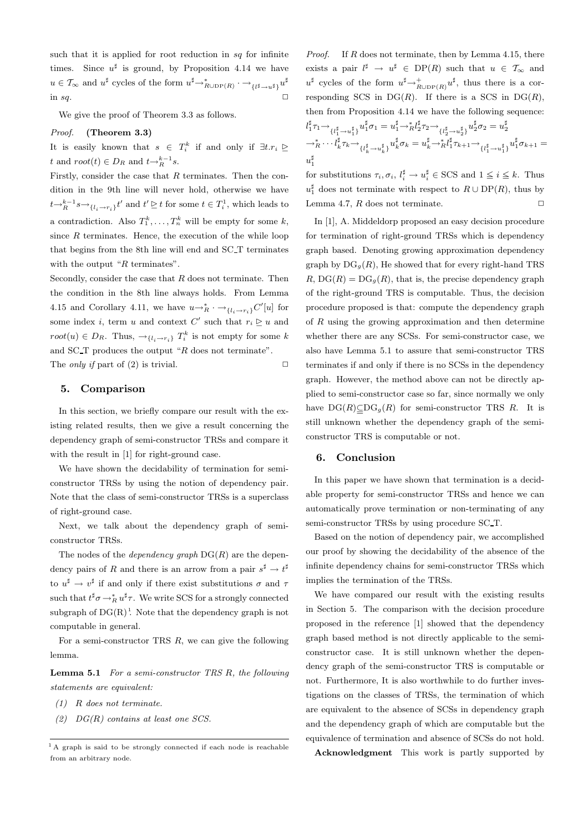such that it is applied for root reduction in  $sq$  for infinite times. Since  $u^{\sharp}$  is ground, by Proposition 4.14 we have  $u \in \mathcal{T}_{\infty}$  and  $u^{\sharp}$  cycles of the form  $u^{\sharp} \rightarrow_{R \cup \text{DP}(R)}^* \rightarrow \{u^{\sharp} \rightarrow u^{\sharp}\} u^{\sharp}$ in sq.  $\Box$ 

We give the proof of Theorem 3.3 as follows.

#### Proof. (Theorem 3.3)

It is easily known that  $s \in T_i^k$  if and only if  $\exists t.r_i \trianglerighteq$ t and  $root(t) \in D_R$  and  $t \rightarrow_R^{k-1} s$ .

Firstly, consider the case that  $R$  terminates. Then the condition in the 9th line will never hold, otherwise we have  $t \rightarrow_R^{k-1} s \rightarrow_{\{l_i \rightarrow r_i\}} t'$  and  $t' \geq t$  for some  $t \in T_i^1$ , which leads to a contradiction. Also  $T_1^k, \ldots, T_n^k$  will be empty for some k, since  $R$  terminates. Hence, the execution of the while loop that begins from the 8th line will end and SC T terminates with the output " $R$  terminates".

Secondly, consider the case that  $R$  does not terminate. Then the condition in the 8th line always holds. From Lemma 4.15 and Corollary 4.11, we have  $u \rightarrow_R^* \cdot \rightarrow_{\{l_i \rightarrow r_i\}} C'[u]$  for some index *i*, term *u* and context  $C'$  such that  $r_i \geq u$  and  $root(u) \in D_R$ . Thus,  $\rightarrow_{\{l_i \rightarrow r_i\}} T_i^k$  is not empty for some k and SC<sub>T</sub> produces the output " $R$  does not terminate". The *only if* part of (2) is trivial.  $\square$ 

#### 5. Comparison

In this section, we briefly compare our result with the existing related results, then we give a result concerning the dependency graph of semi-constructor TRSs and compare it with the result in [1] for right-ground case.

We have shown the decidability of termination for semiconstructor TRSs by using the notion of dependency pair. Note that the class of semi-constructor TRSs is a superclass of right-ground case.

Next, we talk about the dependency graph of semiconstructor TRSs.

The nodes of the *dependency graph*  $DG(R)$  are the dependency pairs of R and there is an arrow from a pair  $s^{\sharp} \to t^{\sharp}$ to  $u^{\sharp} \to v^{\sharp}$  if and only if there exist substitutions  $\sigma$  and  $\tau$ such that  $t^{\sharp} \sigma \rightarrow_R^* u^{\sharp} \tau$ . We write SCS for a strongly connected subgraph of  $DG(R)^1$ . Note that the dependency graph is not computable in general.

For a semi-constructor TRS  $R$ , we can give the following lemma.

Lemma 5.1 For a semi-constructor TRS R, the following statements are equivalent:

- (1) R does not terminate.
- $(2)$  DG(R) contains at least one SCS.

*Proof.* If  $R$  does not terminate, then by Lemma 4.15, there exists a pair  $l^{\sharp} \to u^{\sharp} \in DP(R)$  such that  $u \in \mathcal{T}_{\infty}$  and  $u^{\sharp}$  cycles of the form  $u^{\sharp} \rightarrow_{R\cup \text{DP}(R)}^{\pm} u^{\sharp}$ , thus there is a corresponding SCS in  $DG(R)$ . If there is a SCS in  $DG(R)$ , then from Proposition 4.14 we have the following sequence:  $l_1^\sharp \tau_1 {\rightarrow} \genfrac{}{}{0pt}{}{l_1^\sharp}{\{l_1^\sharp \rightarrow u_1^\sharp\}} u_1^\sharp \sigma_1 = u_1^\sharp {\rightarrow}^*_R l_2^\sharp \tau_2 {\rightarrow} \genfrac{}{}{0pt}{}{l_1^\sharp}{\{l_2^\sharp \rightarrow u_2^\sharp\}} u_2^\sharp \sigma_2 = u_2^\sharp$ 

$$
\begin{aligned}\n &\quad \frac{\{l_1^2 \to u_1^2\}}{\to R} \cdots \frac{l_k^{\sharp}}{\{k \} \tau_k \to \frac{u_k^{\sharp}}{\{l_k^{\sharp}} \to u_k^{\sharp}\}} u_k^{\sharp} \sigma_k = u_k^{\sharp} \to R \frac{l_1^{\sharp} \tau_{k+1}}{\{l_1^{\sharp}} \tau_{k+1} \to \frac{u_1^{\sharp}}{\{l_1^{\sharp}} \to u_1^{\sharp}\}} u_1^{\sharp} \sigma_{k+1} = \\
&\quad u_1^{\sharp}\n \end{aligned}
$$

for substitutions  $\tau_i, \sigma_i, l_i^{\sharp} \to u_i^{\sharp} \in \text{SCS}$  and  $1 \leq i \leq k$ . Thus  $u_1^{\sharp}$  does not terminate with respect to  $R \cup DP(R)$ , thus by Lemma 4.7,  $R$  does not terminate.  $\square$ 

In [1], A. Middeldorp proposed an easy decision procedure for termination of right-ground TRSs which is dependency graph based. Denoting growing approximation dependency graph by  $DG_g(R)$ , He showed that for every right-hand TRS  $R, DG(R) = DG<sub>q</sub>(R)$ , that is, the precise dependency graph of the right-ground TRS is computable. Thus, the decision procedure proposed is that: compute the dependency graph of  $R$  using the growing approximation and then determine whether there are any SCSs. For semi-constructor case, we also have Lemma 5.1 to assure that semi-constructor TRS terminates if and only if there is no SCSs in the dependency graph. However, the method above can not be directly applied to semi-constructor case so far, since normally we only have  $DG(R) \subseteq DG_g(R)$  for semi-constructor TRS R. It is still unknown whether the dependency graph of the semiconstructor TRS is computable or not.

## 6. Conclusion

In this paper we have shown that termination is a decidable property for semi-constructor TRSs and hence we can automatically prove termination or non-terminating of any semi-constructor TRSs by using procedure SC T.

Based on the notion of dependency pair, we accomplished our proof by showing the decidability of the absence of the infinite dependency chains for semi-constructor TRSs which implies the termination of the TRSs.

We have compared our result with the existing results in Section 5. The comparison with the decision procedure proposed in the reference [1] showed that the dependency graph based method is not directly applicable to the semiconstructor case. It is still unknown whether the dependency graph of the semi-constructor TRS is computable or not. Furthermore, It is also worthwhile to do further investigations on the classes of TRSs, the termination of which are equivalent to the absence of SCSs in dependency graph and the dependency graph of which are computable but the equivalence of termination and absence of SCSs do not hold.

Acknowledgment This work is partly supported by

<sup>&</sup>lt;sup>1</sup> A graph is said to be strongly connected if each node is reachable from an arbitrary node.